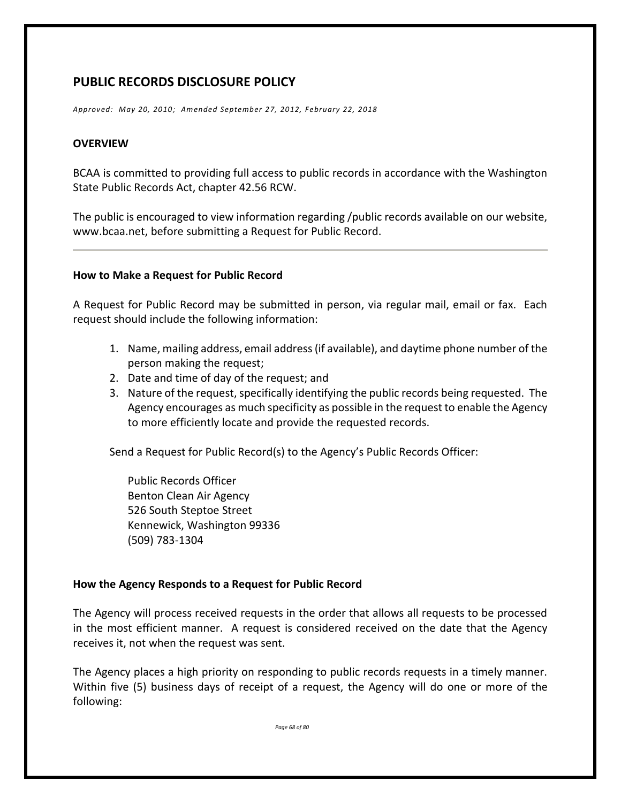# **PUBLIC RECORDS DISCLOSURE POLICY**

*Approved: May 20, 2010; Amended September 27, 2012, February 22, 2018*

#### **OVERVIEW**

BCAA is committed to providing full access to public records in accordance with the Washington State Public Records Act, chapter 42.56 RCW.

The public is encouraged to view information regarding /public records available on our website, www.bcaa.net, before submitting a Request for Public Record.

#### **How to Make a Request for Public Record**

A Request for Public Record may be submitted in person, via regular mail, email or fax. Each request should include the following information:

- 1. Name, mailing address, email address (if available), and daytime phone number of the person making the request;
- 2. Date and time of day of the request; and
- 3. Nature of the request, specifically identifying the public records being requested. The Agency encourages as much specificity as possible in the request to enable the Agency to more efficiently locate and provide the requested records.

Send a Request for Public Record(s) to the Agency's Public Records Officer:

Public Records Officer Benton Clean Air Agency 526 South Steptoe Street Kennewick, Washington 99336 (509) 783-1304

#### **How the Agency Responds to a Request for Public Record**

The Agency will process received requests in the order that allows all requests to be processed in the most efficient manner. A request is considered received on the date that the Agency receives it, not when the request was sent.

The Agency places a high priority on responding to public records requests in a timely manner. Within five (5) business days of receipt of a request, the Agency will do one or more of the following:

*Page 68 of 80*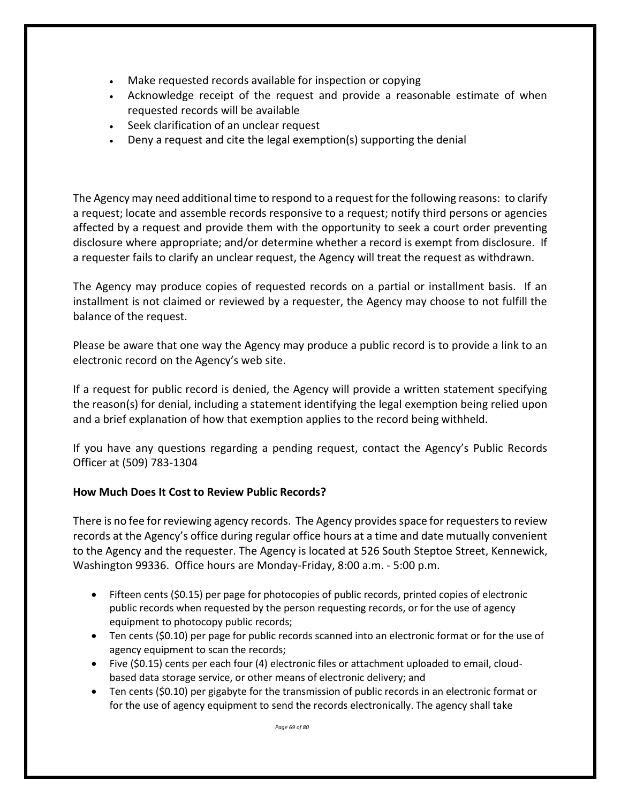- Make requested records available for inspection or copying
- Acknowledge receipt of the request and provide a reasonable estimate of when requested records will be available
- Seek clarification of an unclear request
- Deny a request and cite the legal exemption(s) supporting the denial

The Agency may need additional time to respond to a request for the following reasons: to clarify a request; locate and assemble records responsive to a request; notify third persons or agencies affected by a request and provide them with the opportunity to seek a court order preventing disclosure where appropriate; and/or determine whether a record is exempt from disclosure. If a requester fails to clarify an unclear request, the Agency will treat the request as withdrawn.

The Agency may produce copies of requested records on a partial or installment basis. If an installment is not claimed or reviewed by a requester, the Agency may choose to not fulfill the balance of the request.

Please be aware that one way the Agency may produce a public record is to provide a link to an electronic record on the Agency's web site.

If a request for public record is denied, the Agency will provide a written statement specifying the reason(s) for denial, including a statement identifying the legal exemption being relied upon and a brief explanation of how that exemption applies to the record being withheld.

If you have any questions regarding a pending request, contact the Agency's Public Records Officer at (509) 783-1304

# **How Much Does It Cost to Review Public Records?**

There is no fee for reviewing agency records. The Agency provides space for requesters to review records at the Agency's office during regular office hours at a time and date mutually convenient to the Agency and the requester. The Agency is located at 526 South Steptoe Street, Kennewick, Washington 99336. Office hours are Monday-Friday, 8:00 a.m. - 5:00 p.m.

- Fifteen cents (\$0.15) per page for photocopies of public records, printed copies of electronic public records when requested by the person requesting records, or for the use of agency equipment to photocopy public records;
- Ten cents (\$0.10) per page for public records scanned into an electronic format or for the use of agency equipment to scan the records;
- Five (\$0.15) cents per each four (4) electronic files or attachment uploaded to email, cloudbased data storage service, or other means of electronic delivery; and
- Ten cents (\$0.10) per gigabyte for the transmission of public records in an electronic format or for the use of agency equipment to send the records electronically. The agency shall take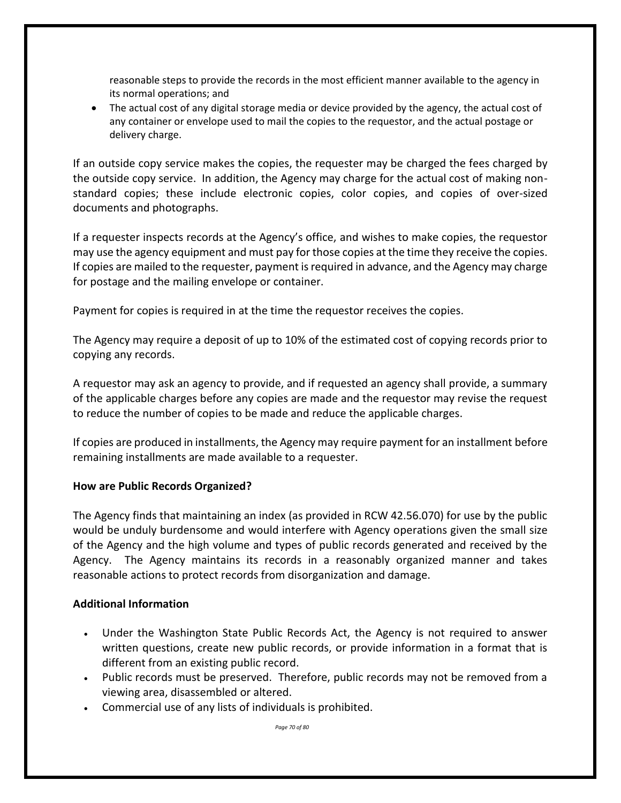reasonable steps to provide the records in the most efficient manner available to the agency in its normal operations; and

• The actual cost of any digital storage media or device provided by the agency, the actual cost of any container or envelope used to mail the copies to the requestor, and the actual postage or delivery charge.

If an outside copy service makes the copies, the requester may be charged the fees charged by the outside copy service. In addition, the Agency may charge for the actual cost of making nonstandard copies; these include electronic copies, color copies, and copies of over-sized documents and photographs.

If a requester inspects records at the Agency's office, and wishes to make copies, the requestor may use the agency equipment and must pay for those copies at the time they receive the copies. If copies are mailed to the requester, payment is required in advance, and the Agency may charge for postage and the mailing envelope or container.

Payment for copies is required in at the time the requestor receives the copies.

The Agency may require a deposit of up to 10% of the estimated cost of copying records prior to copying any records.

A requestor may ask an agency to provide, and if requested an agency shall provide, a summary of the applicable charges before any copies are made and the requestor may revise the request to reduce the number of copies to be made and reduce the applicable charges.

If copies are produced in installments, the Agency may require payment for an installment before remaining installments are made available to a requester.

## **How are Public Records Organized?**

The Agency finds that maintaining an index (as provided in RCW 42.56.070) for use by the public would be unduly burdensome and would interfere with Agency operations given the small size of the Agency and the high volume and types of public records generated and received by the Agency. The Agency maintains its records in a reasonably organized manner and takes reasonable actions to protect records from disorganization and damage.

## **Additional Information**

- Under the Washington State Public Records Act, the Agency is not required to answer written questions, create new public records, or provide information in a format that is different from an existing public record.
- Public records must be preserved. Therefore, public records may not be removed from a viewing area, disassembled or altered.
- Commercial use of any lists of individuals is prohibited.